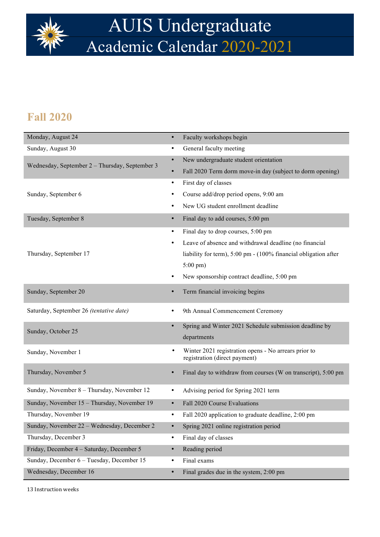

# AUIS Undergraduate Academic Calendar 2020-2021

#### **Fall 2020**

| Monday, August 24                              | $\bullet$ | Faculty workshops begin                                                               |
|------------------------------------------------|-----------|---------------------------------------------------------------------------------------|
| Sunday, August 30                              | ٠         | General faculty meeting                                                               |
| Wednesday, September 2 - Thursday, September 3 | $\bullet$ | New undergraduate student orientation                                                 |
|                                                |           | Fall 2020 Term dorm move-in day (subject to dorm opening)                             |
|                                                | ٠         | First day of classes                                                                  |
| Sunday, September 6                            |           | Course add/drop period opens, 9:00 am                                                 |
|                                                |           | New UG student enrollment deadline                                                    |
| Tuesday, September 8                           | $\bullet$ | Final day to add courses, 5:00 pm                                                     |
|                                                | ٠         | Final day to drop courses, 5:00 pm                                                    |
|                                                | $\bullet$ | Leave of absence and withdrawal deadline (no financial                                |
| Thursday, September 17                         |           | liability for term), 5:00 pm - (100% financial obligation after                       |
|                                                |           | $5:00 \text{ pm}$ )                                                                   |
|                                                | ٠         | New sponsorship contract deadline, 5:00 pm                                            |
| Sunday, September 20                           | $\bullet$ | Term financial invoicing begins                                                       |
| Saturday, September 26 (tentative date)        | ٠         | 9th Annual Commencement Ceremony                                                      |
| Sunday, October 25                             | $\bullet$ | Spring and Winter 2021 Schedule submission deadline by<br>departments                 |
| Sunday, November 1                             | $\bullet$ | Winter 2021 registration opens - No arrears prior to<br>registration (direct payment) |
| Thursday, November 5                           | $\bullet$ | Final day to withdraw from courses (W on transcript), 5:00 pm                         |
| Sunday, November 8 - Thursday, November 12     | ٠         | Advising period for Spring 2021 term                                                  |
| Sunday, November 15 - Thursday, November 19    | $\bullet$ | Fall 2020 Course Evaluations                                                          |
| Thursday, November 19                          | ٠         | Fall 2020 application to graduate deadline, 2:00 pm                                   |
| Sunday, November 22 - Wednesday, December 2    | $\bullet$ | Spring 2021 online registration period                                                |
| Thursday, December 3                           | ٠         | Final day of classes                                                                  |
| Friday, December 4 - Saturday, December 5      | $\bullet$ | Reading period                                                                        |
| Sunday, December 6 - Tuesday, December 15      | ٠         | Final exams                                                                           |
| Wednesday, December 16                         | $\bullet$ | Final grades due in the system, 2:00 pm                                               |

13 Instruction weeks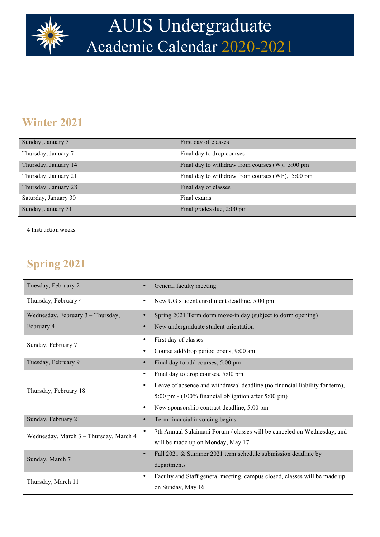

# AUIS Undergraduate Academic Calendar 2020-2021

### **Winter 2021**

| Sunday, January 3    | First day of classes                               |
|----------------------|----------------------------------------------------|
| Thursday, January 7  | Final day to drop courses                          |
| Thursday, January 14 | Final day to withdraw from courses $(W)$ , 5:00 pm |
| Thursday, January 21 | Final day to withdraw from courses (WF), 5:00 pm   |
| Thursday, January 28 | Final day of classes                               |
| Saturday, January 30 | Final exams                                        |
| Sunday, January 31   | Final grades due, 2:00 pm                          |

4 Instruction weeks

### **Spring 2021**

| Tuesday, February 2                    | General faculty meeting<br>$\bullet$                                             |
|----------------------------------------|----------------------------------------------------------------------------------|
| Thursday, February 4                   | New UG student enrollment deadline, 5:00 pm<br>٠                                 |
| Wednesday, February 3 - Thursday,      | Spring 2021 Term dorm move-in day (subject to dorm opening)                      |
| February 4                             | New undergraduate student orientation<br>$\bullet$                               |
| Sunday, February 7                     | First day of classes<br>٠                                                        |
|                                        | Course add/drop period opens, 9:00 am<br>٠                                       |
| Tuesday, February 9                    | Final day to add courses, 5:00 pm<br>$\bullet$                                   |
| Thursday, February 18                  | Final day to drop courses, 5:00 pm<br>٠                                          |
|                                        | Leave of absence and withdrawal deadline (no financial liability for term),<br>٠ |
|                                        | 5:00 pm - (100% financial obligation after 5:00 pm)                              |
|                                        | New sponsorship contract deadline, 5:00 pm<br>$\bullet$                          |
| Sunday, February 21                    | Term financial invoicing begins<br>$\bullet$                                     |
| Wednesday, March 3 - Thursday, March 4 | 7th Annual Sulaimani Forum / classes will be canceled on Wednesday, and          |
|                                        | will be made up on Monday, May 17                                                |
| Sunday, March 7                        | Fall 2021 & Summer 2021 term schedule submission deadline by<br>$\bullet$        |
|                                        | departments                                                                      |
| $\bullet$<br>Thursday, March 11        | Faculty and Staff general meeting, campus closed, classes will be made up        |
|                                        | on Sunday, May 16                                                                |